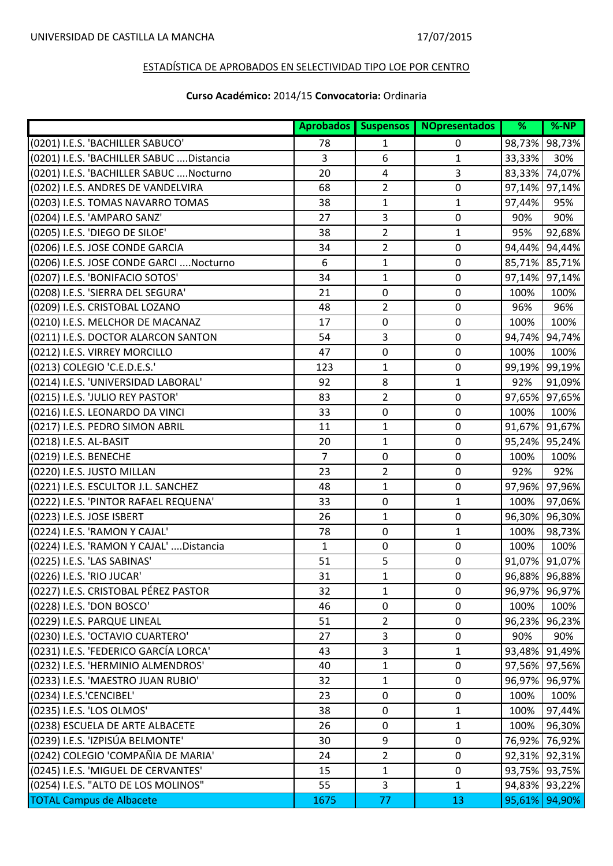|                                           |                |                | Aprobados Suspensos NOpresentados | %      | $% - NP$      |
|-------------------------------------------|----------------|----------------|-----------------------------------|--------|---------------|
| (0201) I.E.S. 'BACHILLER SABUCO'          | 78             | 1              | 0                                 | 98,73% | 98,73%        |
| (0201) I.E.S. 'BACHILLER SABUC  Distancia | 3              | 6              | 1                                 | 33,33% | 30%           |
| (0201) I.E.S. 'BACHILLER SABUC  Nocturno  | 20             | 4              | 3                                 | 83,33% | 74,07%        |
| (0202) I.E.S. ANDRES DE VANDELVIRA        | 68             | $\overline{2}$ | 0                                 | 97,14% | 97,14%        |
| (0203) I.E.S. TOMAS NAVARRO TOMAS         | 38             | $\mathbf{1}$   | $\mathbf{1}$                      | 97,44% | 95%           |
| (0204) I.E.S. 'AMPARO SANZ'               | 27             | 3              | 0                                 | 90%    | 90%           |
| (0205) I.E.S. 'DIEGO DE SILOE'            | 38             | $\overline{2}$ | $\mathbf{1}$                      | 95%    | 92,68%        |
| (0206) I.E.S. JOSE CONDE GARCIA           | 34             | $\overline{2}$ | $\mathbf 0$                       | 94,44% | 94,44%        |
| (0206) I.E.S. JOSE CONDE GARCI  Nocturno  | 6              | $\mathbf{1}$   | 0                                 | 85,71% | 85,71%        |
| (0207) I.E.S. 'BONIFACIO SOTOS'           | 34             | $\mathbf{1}$   | $\pmb{0}$                         | 97,14% | 97,14%        |
| (0208) I.E.S. 'SIERRA DEL SEGURA'         | 21             | $\mathbf 0$    | 0                                 | 100%   | 100%          |
| (0209) I.E.S. CRISTOBAL LOZANO            | 48             | $\overline{2}$ | $\pmb{0}$                         | 96%    | 96%           |
| (0210) I.E.S. MELCHOR DE MACANAZ          | 17             | $\mathbf 0$    | $\mathbf 0$                       | 100%   | 100%          |
| (0211) I.E.S. DOCTOR ALARCON SANTON       | 54             | 3              | $\mathbf 0$                       | 94,74% | 94,74%        |
| (0212) I.E.S. VIRREY MORCILLO             | 47             | $\mathbf 0$    | $\mathbf 0$                       | 100%   | 100%          |
| (0213) COLEGIO 'C.E.D.E.S.'               | 123            | $\mathbf{1}$   | 0                                 | 99,19% | 99,19%        |
| (0214) I.E.S. 'UNIVERSIDAD LABORAL'       | 92             | 8              | $\mathbf{1}$                      | 92%    | 91,09%        |
| (0215) I.E.S. 'JULIO REY PASTOR'          | 83             | $\overline{2}$ | $\mathbf 0$                       | 97,65% | 97,65%        |
| (0216) I.E.S. LEONARDO DA VINCI           | 33             | $\mathbf 0$    | $\mathbf 0$                       | 100%   | 100%          |
| (0217) I.E.S. PEDRO SIMON ABRIL           | 11             | $\mathbf{1}$   | 0                                 | 91,67% | 91,67%        |
| (0218) I.E.S. AL-BASIT                    | 20             | 1              | $\mathbf 0$                       | 95,24% | 95,24%        |
| (0219) I.E.S. BENECHE                     | $\overline{7}$ | $\mathbf 0$    | $\mathbf 0$                       | 100%   | 100%          |
| (0220) I.E.S. JUSTO MILLAN                | 23             | $\overline{2}$ | 0                                 | 92%    | 92%           |
| (0221) I.E.S. ESCULTOR J.L. SANCHEZ       | 48             | $\mathbf{1}$   | $\pmb{0}$                         | 97,96% | 97,96%        |
| (0222) I.E.S. 'PINTOR RAFAEL REQUENA'     | 33             | $\mathbf 0$    | 1                                 | 100%   | 97,06%        |
| (0223) I.E.S. JOSE ISBERT                 | 26             | 1              | 0                                 | 96,30% | 96,30%        |
| (0224) I.E.S. 'RAMON Y CAJAL'             | 78             | $\mathbf 0$    | 1                                 | 100%   | 98,73%        |
| (0224) I.E.S. 'RAMON Y CAJAL'  Distancia  | 1              | $\mathbf 0$    | $\mathbf 0$                       | 100%   | 100%          |
| (0225) I.E.S. 'LAS SABINAS'               | 51             | 5              | $\pmb{0}$                         | 91,07% | 91,07%        |
| (0226) I.E.S. 'RIO JUCAR'                 | 31             | 1              | 0                                 |        | 96,88% 96,88% |
| (0227) I.E.S. CRISTOBAL PÉREZ PASTOR      | 32             | 1              | 0                                 |        | 96,97% 96,97% |
| (0228) I.E.S. 'DON BOSCO'                 | 46             | $\pmb{0}$      | $\mathbf 0$                       | 100%   | 100%          |
| (0229) I.E.S. PARQUE LINEAL               | 51             | $\overline{2}$ | $\mathbf 0$                       | 96,23% | 96,23%        |
| (0230) I.E.S. 'OCTAVIO CUARTERO'          | 27             | 3              | 0                                 | 90%    | 90%           |
| (0231) I.E.S. 'FEDERICO GARCÍA LORCA'     | 43             | $\overline{3}$ | 1                                 |        | 93,48% 91,49% |
| (0232) I.E.S. 'HERMINIO ALMENDROS'        | 40             | $\mathbf{1}$   | 0                                 | 97,56% | 97,56%        |
| (0233) I.E.S. 'MAESTRO JUAN RUBIO'        | 32             | $\mathbf{1}$   | 0                                 |        | 96,97% 96,97% |
| (0234) I.E.S.'CENCIBEL'                   | 23             | $\mathbf 0$    | 0                                 | 100%   | 100%          |
| (0235) I.E.S. 'LOS OLMOS'                 | 38             | $\mathbf 0$    | 1                                 | 100%   | 97,44%        |
| (0238) ESCUELA DE ARTE ALBACETE           | 26             | $\mathbf 0$    | 1                                 | 100%   | 96,30%        |
| (0239) I.E.S. 'IZPISÚA BELMONTE'          | 30             | 9              | $\mathbf 0$                       | 76,92% | 76,92%        |
| (0242) COLEGIO 'COMPAÑIA DE MARIA'        | 24             | $\overline{2}$ | 0                                 |        | 92,31% 92,31% |
| (0245) I.E.S. 'MIGUEL DE CERVANTES'       | 15             | $\mathbf{1}$   | $\mathbf 0$                       |        | 93,75% 93,75% |
| (0254) I.E.S. "ALTO DE LOS MOLINOS"       | 55             | 3              | $\mathbf{1}$                      |        | 94,83% 93,22% |
| <b>TOTAL Campus de Albacete</b>           | 1675           | 77             | 13                                |        | 95,61% 94,90% |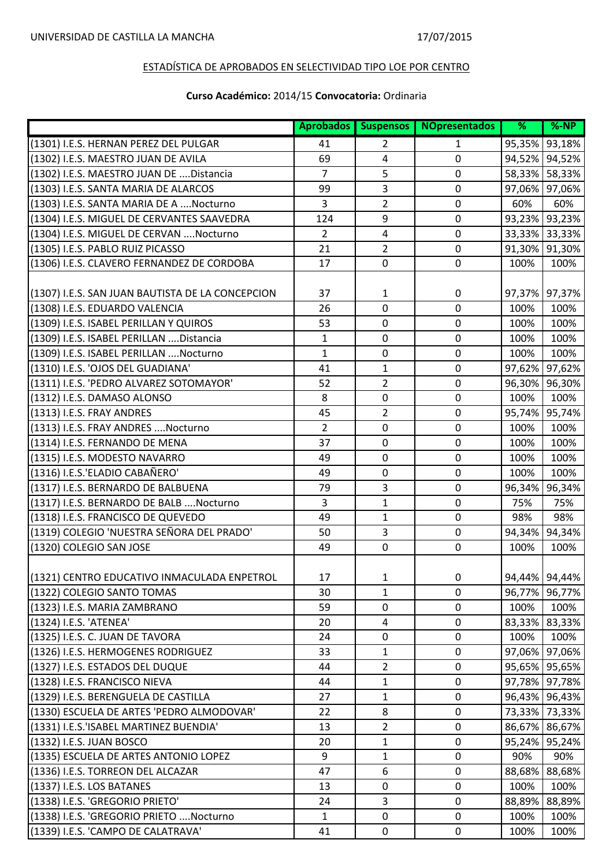|                                                  |                | Aprobados Suspensos | <b>NOpresentados</b> | $\overline{\%}$ | $% - NP$      |
|--------------------------------------------------|----------------|---------------------|----------------------|-----------------|---------------|
| (1301) I.E.S. HERNAN PEREZ DEL PULGAR            | 41             | 2                   | 1                    | 95,35%          | 93,18%        |
| (1302) I.E.S. MAESTRO JUAN DE AVILA              | 69             | $\overline{4}$      | $\mathbf 0$          | 94,52%          | 94,52%        |
| (1302) I.E.S. MAESTRO JUAN DE Distancia          | $\overline{7}$ | 5                   | $\mathbf 0$          |                 | 58,33% 58,33% |
| (1303) I.E.S. SANTA MARIA DE ALARCOS             | 99             | 3                   | $\mathbf 0$          | 97,06%          | 97,06%        |
| (1303) I.E.S. SANTA MARIA DE A Nocturno          | 3              | 2                   | $\mathbf 0$          | 60%             | 60%           |
| (1304) I.E.S. MIGUEL DE CERVANTES SAAVEDRA       | 124            | 9                   | 0                    | 93,23%          | 93,23%        |
| (1304) I.E.S. MIGUEL DE CERVAN  Nocturno         | 2              | $\overline{4}$      | $\pmb{0}$            |                 | 33,33% 33,33% |
| (1305) I.E.S. PABLO RUIZ PICASSO                 | 21             | $\overline{2}$      | $\pmb{0}$            | 91,30%          | 91,30%        |
| (1306) I.E.S. CLAVERO FERNANDEZ DE CORDOBA       | 17             | $\mathbf 0$         | $\mathbf 0$          | 100%            | 100%          |
| (1307) I.E.S. SAN JUAN BAUTISTA DE LA CONCEPCION | 37             | $\mathbf{1}$        | $\pmb{0}$            | 97,37%          | 97,37%        |
| (1308) I.E.S. EDUARDO VALENCIA                   | 26             | $\mathbf 0$         | 0                    | 100%            | 100%          |
| (1309) I.E.S. ISABEL PERILLAN Y QUIROS           | 53             | $\mathbf 0$         | $\mathbf 0$          | 100%            | 100%          |
| (1309) I.E.S. ISABEL PERILLAN Distancia          | 1              | $\boldsymbol{0}$    | $\pmb{0}$            | 100%            | 100%          |
| (1309) I.E.S. ISABEL PERILLAN Nocturno           | $\mathbf{1}$   | $\mathbf 0$         | $\mathbf 0$          | 100%            | 100%          |
| (1310) I.E.S. 'OJOS DEL GUADIANA'                | 41             | 1                   | $\mathbf 0$          | 97,62%          | 97,62%        |
| (1311) I.E.S. 'PEDRO ALVAREZ SOTOMAYOR'          | 52             | 2                   | $\boldsymbol{0}$     | 96,30%          | 96,30%        |
| (1312) I.E.S. DAMASO ALONSO                      | 8              | $\mathbf 0$         | $\mathbf 0$          | 100%            | 100%          |
| (1313) I.E.S. FRAY ANDRES                        | 45             | 2                   | $\pmb{0}$            | 95,74%          | 95,74%        |
| (1313) I.E.S. FRAY ANDRES  Nocturno              | $\overline{2}$ | $\mathbf 0$         | $\mathbf 0$          | 100%            | 100%          |
| (1314) I.E.S. FERNANDO DE MENA                   | 37             | $\mathbf 0$         | $\boldsymbol{0}$     | 100%            | 100%          |
| (1315) I.E.S. MODESTO NAVARRO                    | 49             | $\mathbf 0$         | 0                    | 100%            | 100%          |
| (1316) I.E.S.'ELADIO CABAÑERO'                   | 49             | $\mathbf 0$         | $\mathbf 0$          | 100%            | 100%          |
| (1317) I.E.S. BERNARDO DE BALBUENA               | 79             | 3                   | $\mathbf 0$          | 96,34%          | 96,34%        |
| (1317) I.E.S. BERNARDO DE BALB  Nocturno         | $\overline{3}$ | $\mathbf{1}$        | $\mathbf 0$          | 75%             | 75%           |
| (1318) I.E.S. FRANCISCO DE QUEVEDO               | 49             | 1                   | $\pmb{0}$            | 98%             | 98%           |
| (1319) COLEGIO 'NUESTRA SEÑORA DEL PRADO'        | 50             | 3                   | $\mathbf 0$          | 94,34%          | 94,34%        |
| (1320) COLEGIO SAN JOSE                          | 49             | $\pmb{0}$           | $\boldsymbol{0}$     | 100%            | 100%          |
| (1321) CENTRO EDUCATIVO INMACULADA ENPETROL      | 17             | $\mathbf{1}$        | 0                    |                 | 94,44% 94,44% |
| (1322) COLEGIO SANTO TOMAS                       | 30             | $\mathbf{1}$        | 0                    |                 | 96,77% 96,77% |
| (1323) I.E.S. MARIA ZAMBRANO                     | 59             | $\pmb{0}$           | $\pmb{0}$            | 100%            | 100%          |
| (1324) I.E.S. 'ATENEA'                           | 20             | $\overline{4}$      | $\pmb{0}$            | 83,33%          | 83,33%        |
| (1325) I.E.S. C. JUAN DE TAVORA                  | 24             | $\mathbf 0$         | $\mathbf 0$          | 100%            | 100%          |
| (1326) I.E.S. HERMOGENES RODRIGUEZ               | 33             | 1                   | 0                    | 97,06%          | 97,06%        |
| (1327) I.E.S. ESTADOS DEL DUQUE                  | 44             | 2                   | 0                    |                 | 95,65% 95,65% |
| (1328) I.E.S. FRANCISCO NIEVA                    | 44             | $\mathbf{1}$        | $\mathbf 0$          |                 | 97,78% 97,78% |
| (1329) I.E.S. BERENGUELA DE CASTILLA             | 27             | $\mathbf{1}$        | $\mathbf 0$          |                 | 96,43% 96,43% |
| (1330) ESCUELA DE ARTES 'PEDRO ALMODOVAR'        | 22             | 8                   | 0                    |                 | 73,33% 73,33% |
| (1331) I.E.S. ISABEL MARTINEZ BUENDIA'           | 13             | $\overline{2}$      | $\mathbf 0$          |                 | 86,67% 86,67% |
| (1332) I.E.S. JUAN BOSCO                         | 20             | 1                   | $\mathbf 0$          |                 | 95,24% 95,24% |
| (1335) ESCUELA DE ARTES ANTONIO LOPEZ            | 9              | 1                   | $\mathbf 0$          | 90%             | 90%           |
| (1336) I.E.S. TORREON DEL ALCAZAR                | 47             | 6                   | 0                    | 88,68%          | 88,68%        |
| (1337) I.E.S. LOS BATANES                        | 13             | $\pmb{0}$           | $\mathbf 0$          | 100%            | 100%          |
| (1338) I.E.S. 'GREGORIO PRIETO'                  | 24             | 3                   | $\mathbf 0$          | 88,89%          | 88,89%        |
| (1338) I.E.S. 'GREGORIO PRIETO Nocturno          | $\mathbf{1}$   | $\pmb{0}$           | $\mathbf 0$          | 100%            | 100%          |
| (1339) I.E.S. 'CAMPO DE CALATRAVA'               | 41             | 0                   | $\pmb{0}$            | 100%            | 100%          |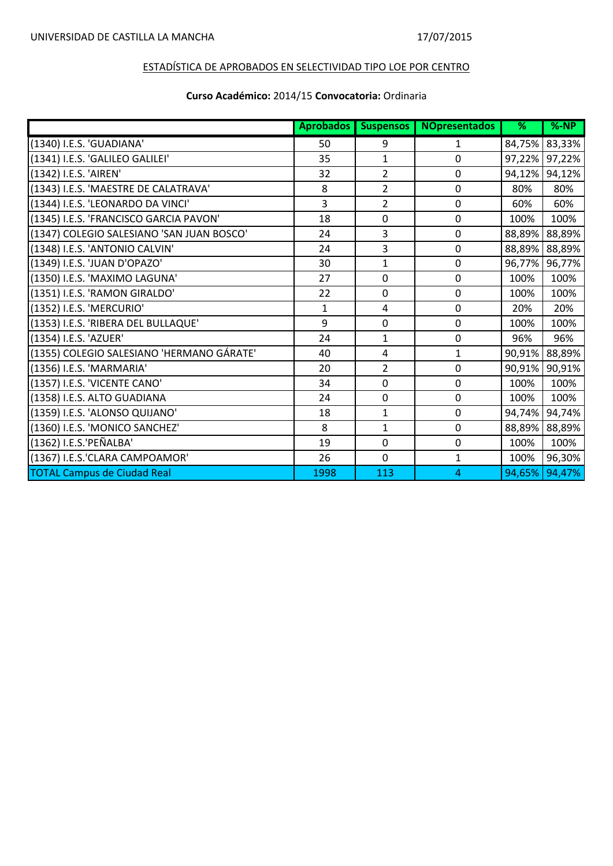|                                           | <b>Aprobados</b> | <b>Suspensos</b> | <b>NOpresentados</b> | %      | $% - NP$ |
|-------------------------------------------|------------------|------------------|----------------------|--------|----------|
| (1340) I.E.S. 'GUADIANA'                  | 50               | 9                | 1                    | 84,75% | 83,33%   |
| (1341) I.E.S. 'GALILEO GALILEI'           | 35               | 1                | 0                    | 97,22% | 97,22%   |
| (1342) I.E.S. 'AIREN'                     | 32               | 2                | 0                    | 94,12% | 94,12%   |
| (1343) I.E.S. 'MAESTRE DE CALATRAVA'      | 8                | 2                | 0                    | 80%    | 80%      |
| (1344) I.E.S. 'LEONARDO DA VINCI'         | 3                | $\overline{2}$   | $\mathbf 0$          | 60%    | 60%      |
| (1345) I.E.S. 'FRANCISCO GARCIA PAVON'    | 18               | $\mathbf 0$      | 0                    | 100%   | 100%     |
| (1347) COLEGIO SALESIANO 'SAN JUAN BOSCO' | 24               | 3                | $\mathbf 0$          | 88,89% | 88,89%   |
| (1348) I.E.S. 'ANTONIO CALVIN'            | 24               | 3                | 0                    | 88,89% | 88,89%   |
| (1349) I.E.S. 'JUAN D'OPAZO'              | 30               | $\mathbf 1$      | $\mathbf 0$          | 96,77% | 96,77%   |
| (1350) I.E.S. 'MAXIMO LAGUNA'             | 27               | $\mathbf 0$      | $\mathbf 0$          | 100%   | 100%     |
| (1351) I.E.S. 'RAMON GIRALDO'             | 22               | $\mathbf 0$      | $\mathbf 0$          | 100%   | 100%     |
| (1352) I.E.S. 'MERCURIO'                  | $\mathbf{1}$     | 4                | $\mathbf 0$          | 20%    | 20%      |
| (1353) I.E.S. 'RIBERA DEL BULLAQUE'       | 9                | $\mathbf 0$      | 0                    | 100%   | 100%     |
| (1354) I.E.S. 'AZUER'                     | 24               | $\mathbf{1}$     | $\mathbf 0$          | 96%    | 96%      |
| (1355) COLEGIO SALESIANO 'HERMANO GÁRATE' | 40               | 4                | $\mathbf{1}$         | 90,91% | 88,89%   |
| (1356) I.E.S. 'MARMARIA'                  | 20               | 2                | $\mathbf 0$          | 90,91% | 90,91%   |
| (1357) I.E.S. 'VICENTE CANO'              | 34               | $\mathbf 0$      | 0                    | 100%   | 100%     |
| (1358) I.E.S. ALTO GUADIANA               | 24               | $\mathbf 0$      | $\mathbf 0$          | 100%   | 100%     |
| (1359) I.E.S. 'ALONSO QUIJANO'            | 18               | $\mathbf{1}$     | $\mathbf 0$          | 94,74% | 94,74%   |
| (1360) I.E.S. 'MONICO SANCHEZ'            | 8                | $\mathbf{1}$     | $\mathbf 0$          | 88,89% | 88,89%   |
| (1362) I.E.S.'PEÑALBA'                    | 19               | $\mathbf 0$      | $\mathbf 0$          | 100%   | 100%     |
| (1367) I.E.S.'CLARA CAMPOAMOR'            | 26               | $\mathbf 0$      | $\mathbf{1}$         | 100%   | 96,30%   |
| <b>TOTAL Campus de Ciudad Real</b>        | 1998             | 113              | 4                    | 94,65% | 94,47%   |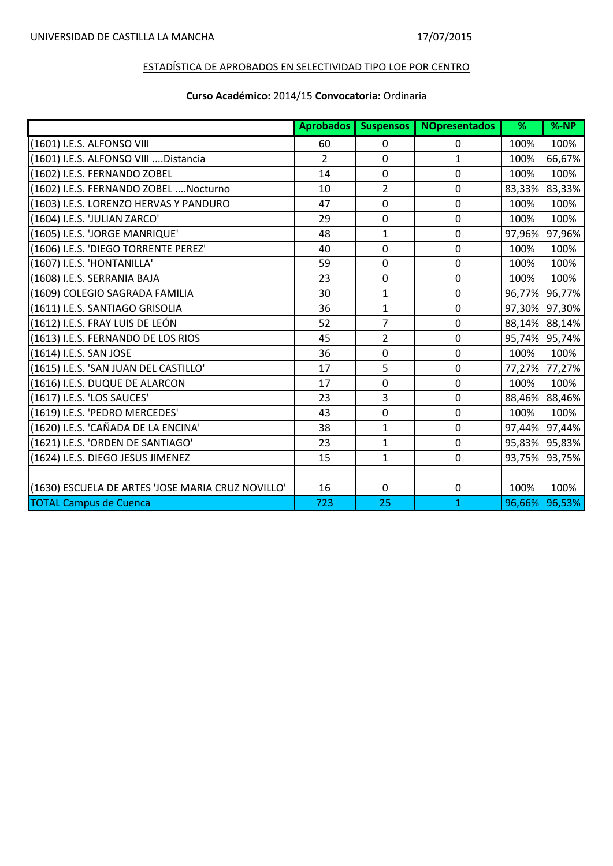|                                                   | <b>Aprobados</b> | <b>Suspensos</b> | <b>NOpresentados</b> | %      | $% - NP$ |
|---------------------------------------------------|------------------|------------------|----------------------|--------|----------|
| (1601) I.E.S. ALFONSO VIII                        | 60               | $\Omega$         | 0                    | 100%   | 100%     |
| (1601) I.E.S. ALFONSO VIII  Distancia             | 2                | $\mathbf 0$      | $\mathbf{1}$         | 100%   | 66,67%   |
| (1602) I.E.S. FERNANDO ZOBEL                      | 14               | 0                | 0                    | 100%   | 100%     |
| (1602) I.E.S. FERNANDO ZOBEL  Nocturno            | 10               | $\overline{2}$   | $\mathbf 0$          | 83,33% | 83,33%   |
| (1603) I.E.S. LORENZO HERVAS Y PANDURO            | 47               | $\mathbf 0$      | 0                    | 100%   | 100%     |
| (1604) I.E.S. 'JULIAN ZARCO'                      | 29               | $\mathbf 0$      | 0                    | 100%   | 100%     |
| (1605) I.E.S. 'JORGE MANRIQUE'                    | 48               | $\mathbf{1}$     | 0                    | 97,96% | 97,96%   |
| (1606) I.E.S. 'DIEGO TORRENTE PEREZ'              | 40               | $\mathbf 0$      | 0                    | 100%   | 100%     |
| (1607) I.E.S. 'HONTANILLA'                        | 59               | $\mathbf 0$      | 0                    | 100%   | 100%     |
| (1608) I.E.S. SERRANIA BAJA                       | 23               | 0                | 0                    | 100%   | 100%     |
| (1609) COLEGIO SAGRADA FAMILIA                    | 30               | $\mathbf{1}$     | $\mathbf{0}$         | 96,77% | 96,77%   |
| (1611) I.E.S. SANTIAGO GRISOLIA                   | 36               | $\mathbf{1}$     | 0                    | 97,30% | 97,30%   |
| (1612) I.E.S. FRAY LUIS DE LEÓN                   | 52               | $\overline{7}$   | 0                    | 88,14% | 88,14%   |
| (1613) I.E.S. FERNANDO DE LOS RIOS                | 45               | $\overline{2}$   | 0                    | 95,74% | 95,74%   |
| (1614) I.E.S. SAN JOSE                            | 36               | 0                | 0                    | 100%   | 100%     |
| (1615) I.E.S. 'SAN JUAN DEL CASTILLO'             | 17               | 5                | 0                    | 77,27% | 77,27%   |
| (1616) I.E.S. DUQUE DE ALARCON                    | 17               | $\mathbf 0$      | 0                    | 100%   | 100%     |
| (1617) I.E.S. 'LOS SAUCES'                        | 23               | 3                | 0                    | 88,46% | 88,46%   |
| (1619) I.E.S. 'PEDRO MERCEDES'                    | 43               | $\mathbf 0$      | 0                    | 100%   | 100%     |
| (1620) I.E.S. 'CAÑADA DE LA ENCINA'               | 38               | $\mathbf{1}$     | 0                    | 97,44% | 97,44%   |
| (1621) I.E.S. 'ORDEN DE SANTIAGO'                 | 23               | $\mathbf{1}$     | 0                    | 95,83% | 95,83%   |
| (1624) I.E.S. DIEGO JESUS JIMENEZ                 | 15               | $\mathbf 1$      | 0                    | 93,75% | 93,75%   |
|                                                   |                  |                  |                      |        |          |
| (1630) ESCUELA DE ARTES 'JOSE MARIA CRUZ NOVILLO' | 16               | $\mathbf 0$      | 0                    | 100%   | 100%     |
| <b>TOTAL Campus de Cuenca</b>                     | 723              | 25               | $\mathbf{1}$         | 96,66% | 96,53%   |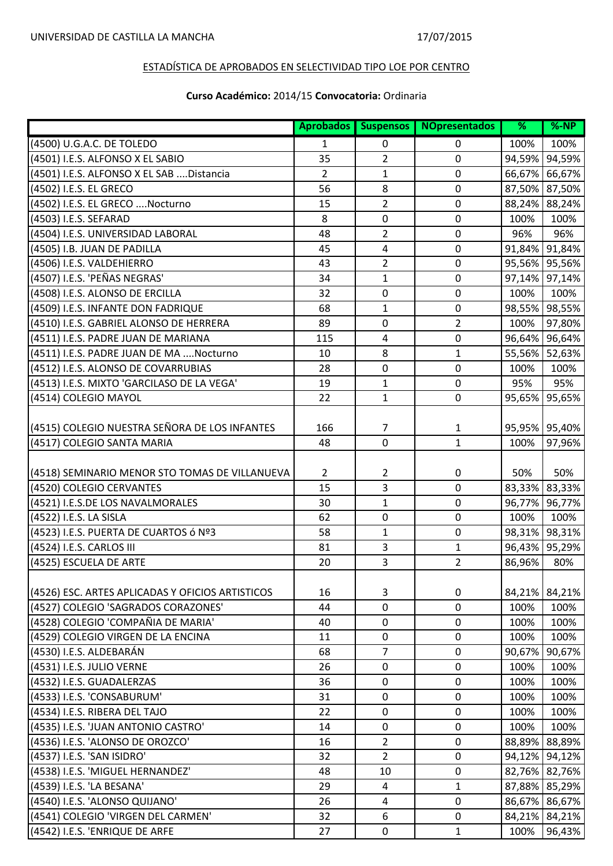|                                                  | <b>Aprobados</b> | <b>Suspensos</b> | <b>NOpresentados</b> | %      | $% - NP$      |
|--------------------------------------------------|------------------|------------------|----------------------|--------|---------------|
| (4500) U.G.A.C. DE TOLEDO                        | $\mathbf{1}$     | 0                | 0                    | 100%   | 100%          |
| (4501) I.E.S. ALFONSO X EL SABIO                 | 35               | 2                | 0                    | 94,59% | 94,59%        |
| (4501) I.E.S. ALFONSO X EL SAB Distancia         | $\overline{2}$   | 1                | 0                    | 66,67% | 66,67%        |
| (4502) I.E.S. EL GRECO                           | 56               | 8                | 0                    | 87,50% | 87,50%        |
| (4502) I.E.S. EL GRECO  Nocturno                 | 15               | $\overline{2}$   | 0                    | 88,24% | 88,24%        |
| (4503) I.E.S. SEFARAD                            | 8                | $\mathbf 0$      | 0                    | 100%   | 100%          |
| (4504) I.E.S. UNIVERSIDAD LABORAL                | 48               | 2                | 0                    | 96%    | 96%           |
| (4505) I.B. JUAN DE PADILLA                      | 45               | 4                | $\mathbf 0$          |        | 91,84% 91,84% |
| (4506) I.E.S. VALDEHIERRO                        | 43               | 2                | 0                    | 95,56% | 95,56%        |
| (4507) I.E.S. 'PEÑAS NEGRAS'                     | 34               | 1                | 0                    |        | 97,14% 97,14% |
| (4508) I.E.S. ALONSO DE ERCILLA                  | 32               | $\mathbf 0$      | 0                    | 100%   | 100%          |
| (4509) I.E.S. INFANTE DON FADRIQUE               | 68               | 1                | $\pmb{0}$            | 98,55% | 98,55%        |
| (4510) I.E.S. GABRIEL ALONSO DE HERRERA          | 89               | $\mathbf 0$      | $\overline{2}$       | 100%   | 97,80%        |
| (4511) I.E.S. PADRE JUAN DE MARIANA              | 115              | $\overline{4}$   | 0                    | 96,64% | 96,64%        |
| (4511) I.E.S. PADRE JUAN DE MA  Nocturno         | 10               | 8                | 1                    | 55,56% | 52,63%        |
| (4512) I.E.S. ALONSO DE COVARRUBIAS              | 28               | $\mathbf 0$      | 0                    | 100%   | 100%          |
| (4513) I.E.S. MIXTO 'GARCILASO DE LA VEGA'       | 19               | $\mathbf{1}$     | 0                    | 95%    | 95%           |
| (4514) COLEGIO MAYOL                             | 22               | $\mathbf{1}$     | 0                    | 95,65% | 95,65%        |
|                                                  |                  |                  |                      |        |               |
| (4515) COLEGIO NUESTRA SEÑORA DE LOS INFANTES    | 166              | $\overline{7}$   | 1                    |        | 95,95% 95,40% |
| (4517) COLEGIO SANTA MARIA                       | 48               | 0                | 1                    | 100%   | 97,96%        |
|                                                  |                  |                  |                      |        |               |
| (4518) SEMINARIO MENOR STO TOMAS DE VILLANUEVA   | $\overline{2}$   | 2                | 0                    | 50%    | 50%           |
| (4520) COLEGIO CERVANTES                         | 15               | 3                | 0                    | 83,33% | 83,33%        |
| (4521) I.E.S.DE LOS NAVALMORALES                 | 30               | $\mathbf{1}$     | 0                    | 96,77% | 96,77%        |
| (4522) I.E.S. LA SISLA                           | 62               | $\mathbf 0$      | 0                    | 100%   | 100%          |
| (4523) I.E.S. PUERTA DE CUARTOS ó Nº3            | 58               | 1                | $\mathbf 0$          |        | 98,31% 98,31% |
| (4524) I.E.S. CARLOS III                         | 81               | 3                | 1                    | 96,43% | 95,29%        |
| (4525) ESCUELA DE ARTE                           | 20               | 3                | $\overline{2}$       | 86,96% | 80%           |
|                                                  |                  |                  |                      |        |               |
| (4526) ESC. ARTES APLICADAS Y OFICIOS ARTISTICOS | 16               | 3                | 0                    |        | 84,21% 84,21% |
| (4527) COLEGIO 'SAGRADOS CORAZONES'              | 44               | $\pmb{0}$        | 0                    | 100%   | 100%          |
| (4528) COLEGIO 'COMPAÑIA DE MARIA'               | 40               | $\mathbf 0$      | 0                    | 100%   | 100%          |
| (4529) COLEGIO VIRGEN DE LA ENCINA               | 11               | $\pmb{0}$        | 0                    | 100%   | 100%          |
| (4530) I.E.S. ALDEBARÁN                          | 68               | 7                | 0                    | 90,67% | 90,67%        |
| (4531) I.E.S. JULIO VERNE                        | 26               | 0                | 0                    | 100%   | 100%          |
| (4532) I.E.S. GUADALERZAS                        | 36               | $\mathbf 0$      | $\mathbf 0$          | 100%   | 100%          |
| (4533) I.E.S. 'CONSABURUM'                       | 31               | $\mathbf 0$      | $\mathbf 0$          | 100%   | 100%          |
| (4534) I.E.S. RIBERA DEL TAJO                    | 22               | $\pmb{0}$        | 0                    | 100%   | 100%          |
| (4535) I.E.S. 'JUAN ANTONIO CASTRO'              | 14               | $\pmb{0}$        | 0                    | 100%   | 100%          |
| (4536) I.E.S. 'ALONSO DE OROZCO'                 | 16               | $\overline{2}$   | 0                    | 88,89% | 88,89%        |
| (4537) I.E.S. 'SAN ISIDRO'                       | 32               | 2                | 0                    | 94,12% | 94,12%        |
| (4538) I.E.S. 'MIGUEL HERNANDEZ'                 | 48               | 10               | 0                    |        | 82,76% 82,76% |
| (4539) I.E.S. 'LA BESANA'                        | 29               | $\overline{4}$   | 1                    |        | 87,88% 85,29% |
| (4540) I.E.S. 'ALONSO QUIJANO'                   | 26               | $\overline{4}$   | $\mathbf 0$          |        | 86,67% 86,67% |
| (4541) COLEGIO 'VIRGEN DEL CARMEN'               | 32               | 6                | $\mathbf 0$          |        | 84,21% 84,21% |
| (4542) I.E.S. 'ENRIQUE DE ARFE                   | 27               | $\mathbf 0$      | $\mathbf{1}$         | 100%   | 96,43%        |